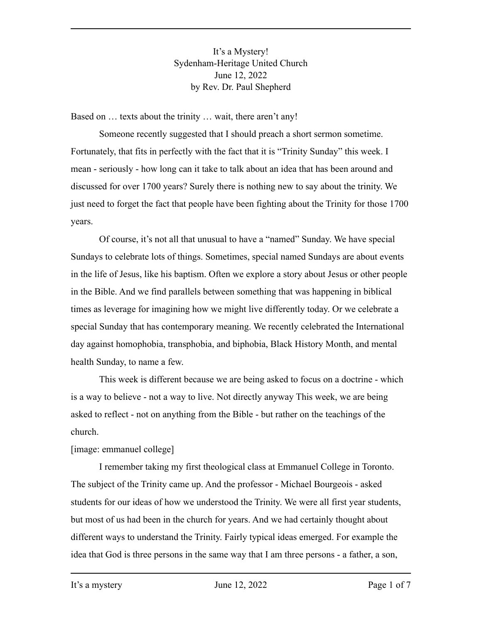It's a Mystery! Sydenham-Heritage United Church June 12, 2022 by Rev. Dr. Paul Shepherd

Based on … texts about the trinity … wait, there aren't any!

Someone recently suggested that I should preach a short sermon sometime. Fortunately, that fits in perfectly with the fact that it is "Trinity Sunday" this week. I mean - seriously - how long can it take to talk about an idea that has been around and discussed for over 1700 years? Surely there is nothing new to say about the trinity. We just need to forget the fact that people have been fighting about the Trinity for those 1700 years.

Of course, it's not all that unusual to have a "named" Sunday. We have special Sundays to celebrate lots of things. Sometimes, special named Sundays are about events in the life of Jesus, like his baptism. Often we explore a story about Jesus or other people in the Bible. And we find parallels between something that was happening in biblical times as leverage for imagining how we might live differently today. Or we celebrate a special Sunday that has contemporary meaning. We recently celebrated the International day against homophobia, transphobia, and biphobia, Black History Month, and mental health Sunday, to name a few.

This week is different because we are being asked to focus on a doctrine - which is a way to believe - not a way to live. Not directly anyway This week, we are being asked to reflect - not on anything from the Bible - but rather on the teachings of the church.

### [image: emmanuel college]

I remember taking my first theological class at Emmanuel College in Toronto. The subject of the Trinity came up. And the professor - Michael Bourgeois - asked students for our ideas of how we understood the Trinity. We were all first year students, but most of us had been in the church for years. And we had certainly thought about different ways to understand the Trinity. Fairly typical ideas emerged. For example the idea that God is three persons in the same way that I am three persons - a father, a son,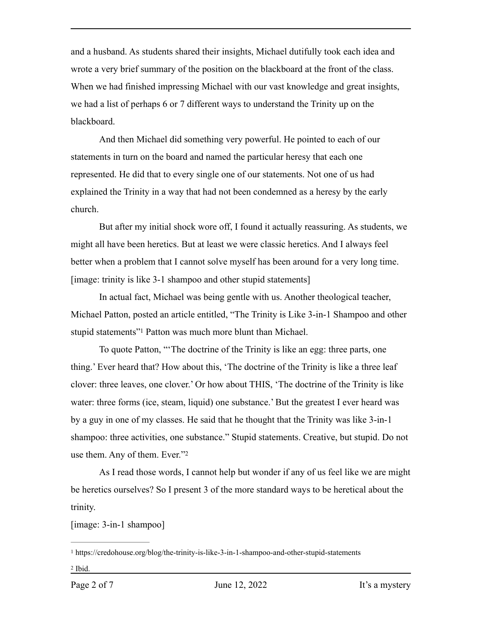and a husband. As students shared their insights, Michael dutifully took each idea and wrote a very brief summary of the position on the blackboard at the front of the class. When we had finished impressing Michael with our vast knowledge and great insights, we had a list of perhaps 6 or 7 different ways to understand the Trinity up on the blackboard.

And then Michael did something very powerful. He pointed to each of our statements in turn on the board and named the particular heresy that each one represented. He did that to every single one of our statements. Not one of us had explained the Trinity in a way that had not been condemned as a heresy by the early church.

But after my initial shock wore off, I found it actually reassuring. As students, we might all have been heretics. But at least we were classic heretics. And I always feel better when a problem that I cannot solve myself has been around for a very long time. [image: trinity is like 3-1 shampoo and other stupid statements]

In actual fact, Michael was being gentle with us. Another theological teacher, Michael Patton, posted an article entitled, "The Trinity is Like 3-in-1 Shampoo and other stupid statements["](#page-1-0)<sup>1</sup> Patton was much more blunt than Michael.

<span id="page-1-2"></span>To quote Patton, "'The doctrine of the Trinity is like an egg: three parts, one thing.' Ever heard that? How about this, 'The doctrine of the Trinity is like a three leaf clover: three leaves, one clover.' Or how about THIS, 'The doctrine of the Trinity is like water: three forms (ice, steam, liquid) one substance.' But the greatest I ever heard was by a guy in one of my classes. He said that he thought that the Trinity was like 3-in-1 shampoo: three activities, one substance." Stupid statements. Creative, but stupid. Do not use them. Any of them. Ever.["2](#page-1-1)

<span id="page-1-3"></span>As I read those words, I cannot help but wonder if any of us feel like we are might be heretics ourselves? So I present 3 of the more standard ways to be heretical about the trinity.

[image: 3-in-1 shampoo]

<span id="page-1-1"></span><span id="page-1-0"></span><sup>&</sup>lt;sup>[1](#page-1-2)</sup> https://credohouse.org/blog/the-trinity-is-like-3-in-1-shampoo-and-other-stupid-statements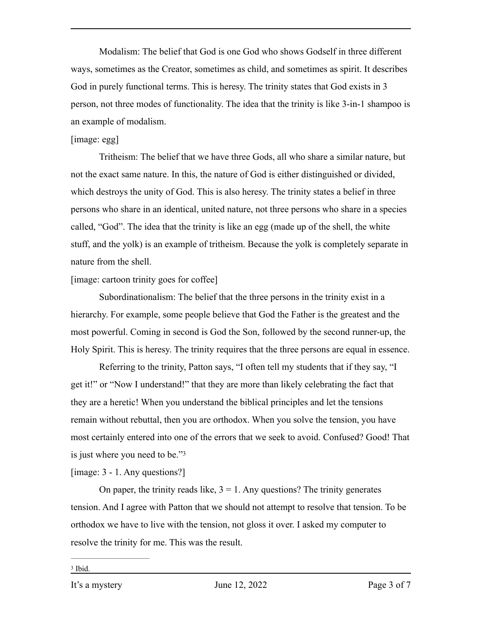Modalism: The belief that God is one God who shows Godself in three different ways, sometimes as the Creator, sometimes as child, and sometimes as spirit. It describes God in purely functional terms. This is heresy. The trinity states that God exists in 3 person, not three modes of functionality. The idea that the trinity is like 3-in-1 shampoo is an example of modalism.

### [image: egg]

Tritheism: The belief that we have three Gods, all who share a similar nature, but not the exact same nature. In this, the nature of God is either distinguished or divided, which destroys the unity of God. This is also heresy. The trinity states a belief in three persons who share in an identical, united nature, not three persons who share in a species called, "God". The idea that the trinity is like an egg (made up of the shell, the white stuff, and the yolk) is an example of tritheism. Because the yolk is completely separate in nature from the shell.

### [image: cartoon trinity goes for coffee]

Subordinationalism: The belief that the three persons in the trinity exist in a hierarchy. For example, some people believe that God the Father is the greatest and the most powerful. Coming in second is God the Son, followed by the second runner-up, the Holy Spirit. This is heresy. The trinity requires that the three persons are equal in essence.

Referring to the trinity, Patton says, "I often tell my students that if they say, "I get it!" or "Now I understand!" that they are more than likely celebrating the fact that they are a heretic! When you understand the biblical principles and let the tensions remain without rebuttal, then you are orthodox. When you solve the tension, you have most certainly entered into one of the errors that we seek to avoid. Confused? Good! That is just where you need to be.["3](#page-2-0)

<span id="page-2-1"></span>[image: 3 - 1. Any questions?]

On paper, the trinity reads like,  $3 = 1$ . Any questions? The trinity generates tension. And I agree with Patton that we should not attempt to resolve that tension. To be orthodox we have to live with the tension, not gloss it over. I asked my computer to resolve the trinity for me. This was the result.

<span id="page-2-0"></span><sup>&</sup>lt;sup>[3](#page-2-1)</sup> Ibid.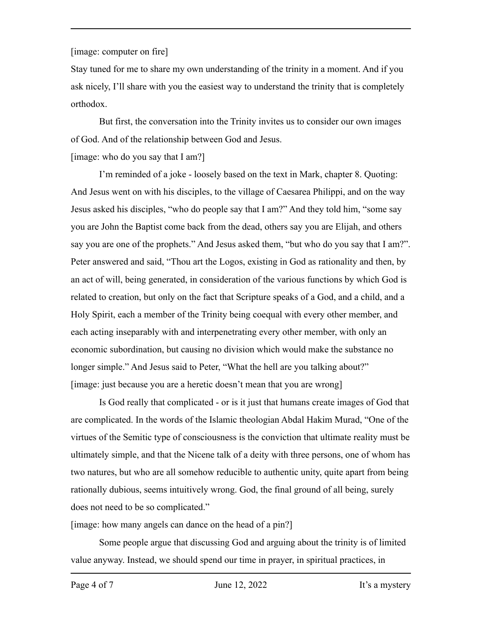## [image: computer on fire]

Stay tuned for me to share my own understanding of the trinity in a moment. And if you ask nicely, I'll share with you the easiest way to understand the trinity that is completely orthodox.

But first, the conversation into the Trinity invites us to consider our own images of God. And of the relationship between God and Jesus.

# [image: who do you say that I am?]

I'm reminded of a joke - loosely based on the text in Mark, chapter 8. Quoting: And Jesus went on with his disciples, to the village of Caesarea Philippi, and on the way Jesus asked his disciples, "who do people say that I am?" And they told him, "some say you are John the Baptist come back from the dead, others say you are Elijah, and others say you are one of the prophets." And Jesus asked them, "but who do you say that I am?". Peter answered and said, "Thou art the Logos, existing in God as rationality and then, by an act of will, being generated, in consideration of the various functions by which God is related to creation, but only on the fact that Scripture speaks of a God, and a child, and a Holy Spirit, each a member of the Trinity being coequal with every other member, and each acting inseparably with and interpenetrating every other member, with only an economic subordination, but causing no division which would make the substance no longer simple." And Jesus said to Peter, "What the hell are you talking about?" [image: just because you are a heretic doesn't mean that you are wrong]

Is God really that complicated - or is it just that humans create images of God that are complicated. In the words of the Islamic theologian Abdal Hakim Murad, "One of the virtues of the Semitic type of consciousness is the conviction that ultimate reality must be ultimately simple, and that the Nicene talk of a deity with three persons, one of whom has two natures, but who are all somehow reducible to authentic unity, quite apart from being rationally dubious, seems intuitively wrong. God, the final ground of all being, surely does not need to be so complicated."

[image: how many angels can dance on the head of a pin?]

Some people argue that discussing God and arguing about the trinity is of limited value anyway. Instead, we should spend our time in prayer, in spiritual practices, in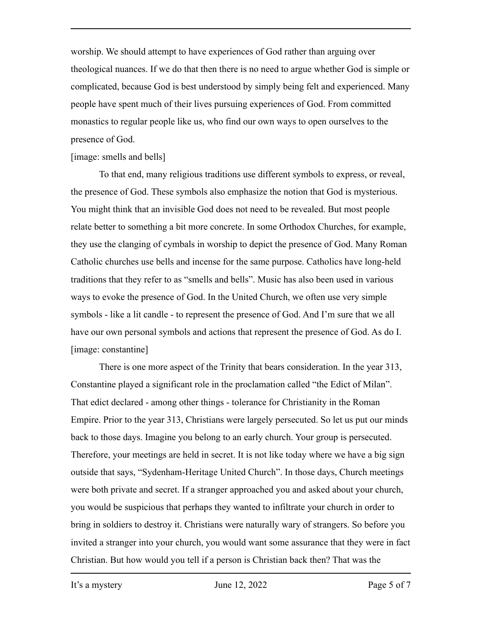worship. We should attempt to have experiences of God rather than arguing over theological nuances. If we do that then there is no need to argue whether God is simple or complicated, because God is best understood by simply being felt and experienced. Many people have spent much of their lives pursuing experiences of God. From committed monastics to regular people like us, who find our own ways to open ourselves to the presence of God.

### [image: smells and bells]

To that end, many religious traditions use different symbols to express, or reveal, the presence of God. These symbols also emphasize the notion that God is mysterious. You might think that an invisible God does not need to be revealed. But most people relate better to something a bit more concrete. In some Orthodox Churches, for example, they use the clanging of cymbals in worship to depict the presence of God. Many Roman Catholic churches use bells and incense for the same purpose. Catholics have long-held traditions that they refer to as "smells and bells". Music has also been used in various ways to evoke the presence of God. In the United Church, we often use very simple symbols - like a lit candle - to represent the presence of God. And I'm sure that we all have our own personal symbols and actions that represent the presence of God. As do I. [image: constantine]

There is one more aspect of the Trinity that bears consideration. In the year 313, Constantine played a significant role in the proclamation called "the Edict of Milan". That edict declared - among other things - tolerance for Christianity in the Roman Empire. Prior to the year 313, Christians were largely persecuted. So let us put our minds back to those days. Imagine you belong to an early church. Your group is persecuted. Therefore, your meetings are held in secret. It is not like today where we have a big sign outside that says, "Sydenham-Heritage United Church". In those days, Church meetings were both private and secret. If a stranger approached you and asked about your church, you would be suspicious that perhaps they wanted to infiltrate your church in order to bring in soldiers to destroy it. Christians were naturally wary of strangers. So before you invited a stranger into your church, you would want some assurance that they were in fact Christian. But how would you tell if a person is Christian back then? That was the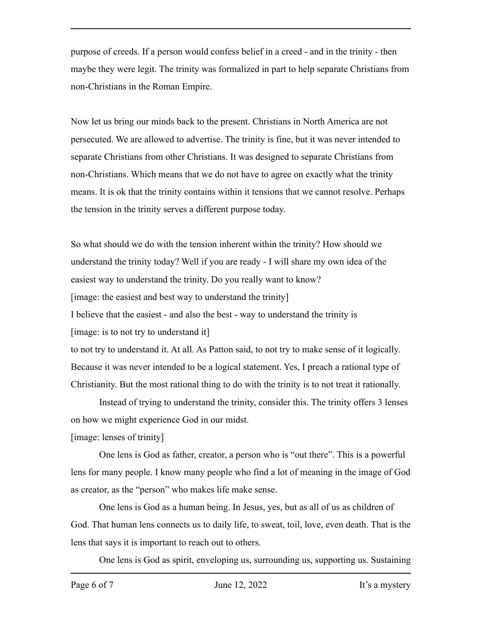purpose of creeds. If a person would confess belief in a creed - and in the trinity - then maybe they were legit. The trinity was formalized in part to help separate Christians from non-Christians in the Roman Empire.

Now let us bring our minds back to the present. Christians in North America are not persecuted. We are allowed to advertise. The trinity is fine, but it was never intended to separate Christians from other Christians. It was designed to separate Christians from non-Christians. Which means that we do not have to agree on exactly what the trinity means. It is ok that the trinity contains within it tensions that we cannot resolve. Perhaps the tension in the trinity serves a different purpose today.

So what should we do with the tension inherent within the trinity? How should we understand the trinity today? Well if you are ready - I will share my own idea of the easiest way to understand the trinity. Do you really want to know? [image: the easiest and best way to understand the trinity] I believe that the easiest - and also the best - way to understand the trinity is [image: is to not try to understand it] to not try to understand it. At all. As Patton said, to not try to make sense of it logically. Because it was never intended to be a logical statement. Yes, I preach a rational type of

Christianity. But the most rational thing to do with the trinity is to not treat it rationally.

Instead of trying to understand the trinity, consider this. The trinity offers 3 lenses on how we might experience God in our midst.

[image: lenses of trinity]

One lens is God as father, creator, a person who is "out there". This is a powerful lens for many people. I know many people who find a lot of meaning in the image of God as creator, as the "person" who makes life make sense.

One lens is God as a human being. In Jesus, yes, but as all of us as children of God. That human lens connects us to daily life, to sweat, toil, love, even death. That is the lens that says it is important to reach out to others.

One lens is God as spirit, enveloping us, surrounding us, supporting us. Sustaining